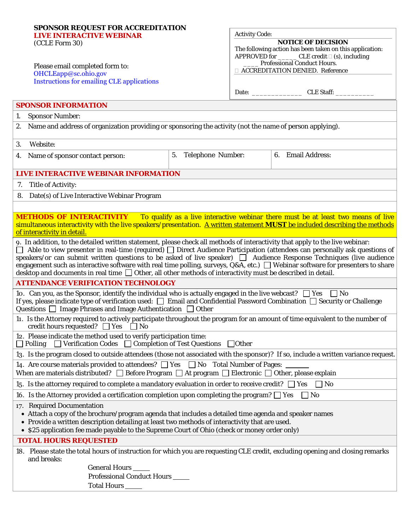| SPONSOR REQUEST FOR ACCREDITATION                                                                                                                                                                                                                               |                      |                                                          |                                                                                                  |  |
|-----------------------------------------------------------------------------------------------------------------------------------------------------------------------------------------------------------------------------------------------------------------|----------------------|----------------------------------------------------------|--------------------------------------------------------------------------------------------------|--|
| <b>LIVE INTERACTIVE WEBINAR</b><br>(CCLE Form 30)                                                                                                                                                                                                               |                      | <b>Activity Code:</b><br><b>NOTICE OF DECISION</b>       |                                                                                                  |  |
|                                                                                                                                                                                                                                                                 |                      | The following action has been taken on this application: |                                                                                                  |  |
|                                                                                                                                                                                                                                                                 |                      |                                                          | APPROVED for _________ CLE credit $\square$ (s), including<br><b>Professional Conduct Hours.</b> |  |
| Please email completed form to:<br>OHCLEapp@sc.ohio.gov                                                                                                                                                                                                         |                      |                                                          | <b>EXECUTEDITATION DENIED. Reference</b>                                                         |  |
| <b>Instructions for emailing CLE applications</b>                                                                                                                                                                                                               |                      |                                                          |                                                                                                  |  |
|                                                                                                                                                                                                                                                                 |                      |                                                          |                                                                                                  |  |
| <b>SPONSOR INFORMATION</b>                                                                                                                                                                                                                                      |                      |                                                          |                                                                                                  |  |
| <b>Sponsor Number:</b><br>1.                                                                                                                                                                                                                                    |                      |                                                          |                                                                                                  |  |
| 2. Name and address of organization providing or sponsoring the activity (not the name of person applying).                                                                                                                                                     |                      |                                                          |                                                                                                  |  |
| 3.<br>Website:                                                                                                                                                                                                                                                  |                      |                                                          |                                                                                                  |  |
| 4. Name of sponsor contact person:                                                                                                                                                                                                                              | 5. Telephone Number: |                                                          | 6. Email Address:                                                                                |  |
| LIVE INTERACTIVE WEBINAR INFORMATION                                                                                                                                                                                                                            |                      |                                                          |                                                                                                  |  |
| 7. Title of Activity:                                                                                                                                                                                                                                           |                      |                                                          |                                                                                                  |  |
| 8. Date(s) of Live Interactive Webinar Program                                                                                                                                                                                                                  |                      |                                                          |                                                                                                  |  |
|                                                                                                                                                                                                                                                                 |                      |                                                          |                                                                                                  |  |
| <b>METHODS OF INTERACTIVITY</b> To qualify as a live interactive webinar there must be at least two means of live                                                                                                                                               |                      |                                                          |                                                                                                  |  |
| simultaneous interactivity with the live speakers/presentation. A written statement MUST be included describing the methods<br>of interactivity in detail.                                                                                                      |                      |                                                          |                                                                                                  |  |
| 9. In addition, to the detailed written statement, please check all methods of interactivity that apply to the live webinar:                                                                                                                                    |                      |                                                          |                                                                                                  |  |
| Able to view presenter in real-time (required) $\Box$ Direct Audience Participation (attendees can personally ask questions of                                                                                                                                  |                      |                                                          |                                                                                                  |  |
| speakers/or can submit written questions to be asked of live speaker) $\Box$ Audience Response Techniques (live audience<br>engagement such as interactive software with real time polling, surveys, Q&A, etc.) Nebinar software for presenters to share        |                      |                                                          |                                                                                                  |  |
| desktop and documents in real time $\Box$ Other, all other methods of interactivity must be described in detail.                                                                                                                                                |                      |                                                          |                                                                                                  |  |
| <b>ATTENDANCE VERIFICATION TECHNOLOGY</b>                                                                                                                                                                                                                       |                      |                                                          |                                                                                                  |  |
| 10. Can you, as the Sponsor, identify the individual who is actually engaged in the live webcast? $\Box$ Yes<br>$\Box$ No<br>If yes, please indicate type of verification used: $\Box$ Email and Confidential Password Combination $\Box$ Security or Challenge |                      |                                                          |                                                                                                  |  |
| Questions $\Box$ Image Phrases and Image Authentication $\Box$ Other                                                                                                                                                                                            |                      |                                                          |                                                                                                  |  |
| 11. Is the Attorney required to actively participate throughout the program for an amount of time equivalent to the number of<br>credit hours requested? $\Box$ Yes $\Box$ No                                                                                   |                      |                                                          |                                                                                                  |  |
| 12. Please indicate the method used to verify participation time:<br>$\Box$ Verification Codes $\Box$ Completion of Test Questions<br>Polling<br>$\Box$ Other                                                                                                   |                      |                                                          |                                                                                                  |  |
| 13. Is the program closed to outside attendees (those not associated with the sponsor)? If so, include a written variance request.                                                                                                                              |                      |                                                          |                                                                                                  |  |
| 14. Are course materials provided to attendees? $\Box$ Yes $\Box$ No Total Number of Pages:<br>When are materials distributed? $\Box$ Before Program $\Box$ At program $\Box$ Electronic $\Box$ Other, please explain                                           |                      |                                                          |                                                                                                  |  |
| 15. Is the attorney required to complete a mandatory evaluation in order to receive credit? $\Box$ Yes<br>$\Box$ No                                                                                                                                             |                      |                                                          |                                                                                                  |  |
| 16. Is the Attorney provided a certification completion upon completing the program? $\Box$ Yes<br>$\vert$   No                                                                                                                                                 |                      |                                                          |                                                                                                  |  |
| 17. Required Documentation                                                                                                                                                                                                                                      |                      |                                                          |                                                                                                  |  |
| • Attach a copy of the brochure/program agenda that includes a detailed time agenda and speaker names                                                                                                                                                           |                      |                                                          |                                                                                                  |  |
| • Provide a written description detailing at least two methods of interactivity that are used.<br>• \$25 application fee made payable to the Supreme Court of Ohio (check or money order only)                                                                  |                      |                                                          |                                                                                                  |  |
| <b>TOTAL HOURS REQUESTED</b>                                                                                                                                                                                                                                    |                      |                                                          |                                                                                                  |  |
| 18. Please state the total hours of instruction for which you are requesting CLE credit, excluding opening and closing remarks<br>and breaks:                                                                                                                   |                      |                                                          |                                                                                                  |  |
| General Hours _____                                                                                                                                                                                                                                             |                      |                                                          |                                                                                                  |  |
| <b>Professional Conduct Hours</b>                                                                                                                                                                                                                               |                      |                                                          |                                                                                                  |  |
| Total Hours _____                                                                                                                                                                                                                                               |                      |                                                          |                                                                                                  |  |